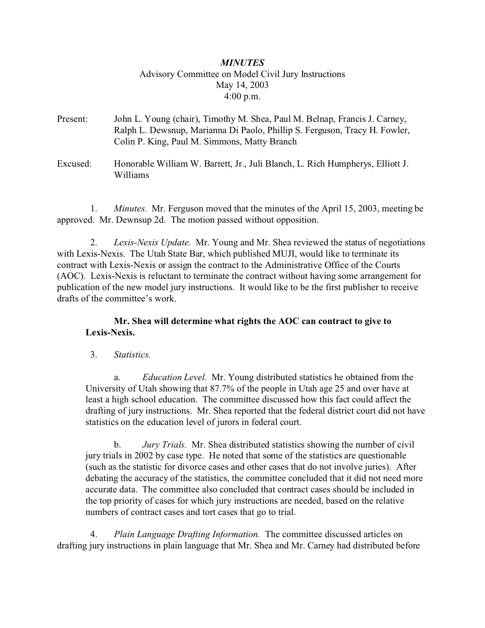# *MINUTES* Advisory Committee on Model Civil Jury Instructions May 14, 2003 4:00 p.m.

- Present: John L. Young (chair), Timothy M. Shea, Paul M. Belnap, Francis J. Carney, Ralph L. Dewsnup, Marianna Di Paolo, Phillip S. Ferguson, Tracy H. Fowler, Colin P. King, Paul M. Simmons, Matty Branch
- Excused: Honorable William W. Barrett, Jr., Juli Blanch, L. Rich Humpherys, Elliott J. Williams

 1. *Minutes.* Mr. Ferguson moved that the minutes of the April 15, 2003, meeting be approved. Mr. Dewnsup 2d. The motion passed without opposition.

 2. *Lexis-Nexis Update.* Mr. Young and Mr. Shea reviewed the status of negotiations with Lexis-Nexis. The Utah State Bar, which published MUJI, would like to terminate its contract with Lexis-Nexis or assign the contract to the Administrative Office of the Courts (AOC). Lexis-Nexis is reluctant to terminate the contract without having some arrangement for publication of the new model jury instructions. It would like to be the first publisher to receive drafts of the committee's work.

## **Mr. Shea will determine what rights the AOC can contract to give to Lexis-Nexis.**

3. *Statistics.*

a. *Education Level.* Mr. Young distributed statistics he obtained from the University of Utah showing that 87.7% of the people in Utah age 25 and over have at least a high school education. The committee discussed how this fact could affect the drafting of jury instructions. Mr. Shea reported that the federal district court did not have statistics on the education level of jurors in federal court.

b. *Jury Trials.* Mr. Shea distributed statistics showing the number of civil jury trials in 2002 by case type. He noted that some of the statistics are questionable (such as the statistic for divorce cases and other cases that do not involve juries). After debating the accuracy of the statistics, the committee concluded that it did not need more accurate data. The committee also concluded that contract cases should be included in the top priority of cases for which jury instructions are needed, based on the relative numbers of contract cases and tort cases that go to trial.

 4. *Plain Language Drafting Information.* The committee discussed articles on drafting jury instructions in plain language that Mr. Shea and Mr. Carney had distributed before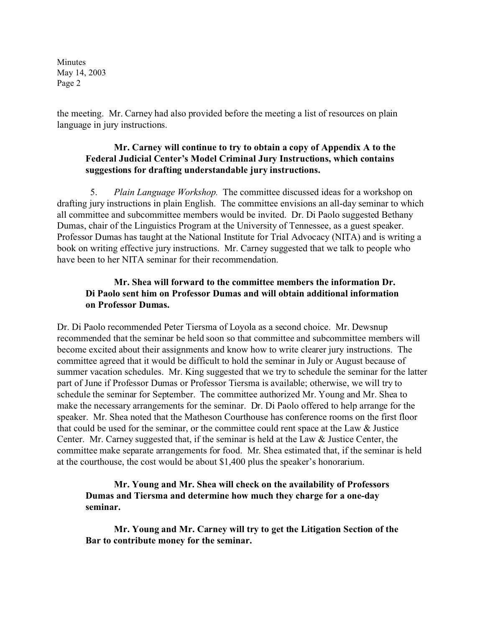Minutes May 14, 2003 Page 2

the meeting. Mr. Carney had also provided before the meeting a list of resources on plain language in jury instructions.

## **Mr. Carney will continue to try to obtain a copy of Appendix A to the Federal Judicial Center's Model Criminal Jury Instructions, which contains suggestions for drafting understandable jury instructions.**

 5. *Plain Language Workshop.* The committee discussed ideas for a workshop on drafting jury instructions in plain English. The committee envisions an all-day seminar to which all committee and subcommittee members would be invited. Dr. Di Paolo suggested Bethany Dumas, chair of the Linguistics Program at the University of Tennessee, as a guest speaker. Professor Dumas has taught at the National Institute for Trial Advocacy (NITA) and is writing a book on writing effective jury instructions. Mr. Carney suggested that we talk to people who have been to her NITA seminar for their recommendation.

## **Mr. Shea will forward to the committee members the information Dr. Di Paolo sent him on Professor Dumas and will obtain additional information on Professor Dumas.**

Dr. Di Paolo recommended Peter Tiersma of Loyola as a second choice. Mr. Dewsnup recommended that the seminar be held soon so that committee and subcommittee members will become excited about their assignments and know how to write clearer jury instructions. The committee agreed that it would be difficult to hold the seminar in July or August because of summer vacation schedules. Mr. King suggested that we try to schedule the seminar for the latter part of June if Professor Dumas or Professor Tiersma is available; otherwise, we will try to schedule the seminar for September. The committee authorized Mr. Young and Mr. Shea to make the necessary arrangements for the seminar. Dr. Di Paolo offered to help arrange for the speaker. Mr. Shea noted that the Matheson Courthouse has conference rooms on the first floor that could be used for the seminar, or the committee could rent space at the Law & Justice Center. Mr. Carney suggested that, if the seminar is held at the Law & Justice Center, the committee make separate arrangements for food. Mr. Shea estimated that, if the seminar is held at the courthouse, the cost would be about \$1,400 plus the speaker's honorarium.

**Mr. Young and Mr. Shea will check on the availability of Professors Dumas and Tiersma and determine how much they charge for a one-day seminar.**

**Mr. Young and Mr. Carney will try to get the Litigation Section of the Bar to contribute money for the seminar.**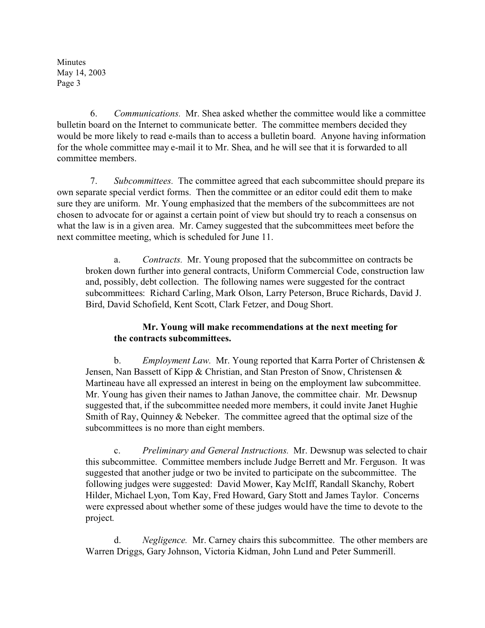Minutes May 14, 2003 Page 3

 6. *Communications.* Mr. Shea asked whether the committee would like a committee bulletin board on the Internet to communicate better. The committee members decided they would be more likely to read e-mails than to access a bulletin board. Anyone having information for the whole committee may e-mail it to Mr. Shea, and he will see that it is forwarded to all committee members.

 7. *Subcommittees.* The committee agreed that each subcommittee should prepare its own separate special verdict forms. Then the committee or an editor could edit them to make sure they are uniform. Mr. Young emphasized that the members of the subcommittees are not chosen to advocate for or against a certain point of view but should try to reach a consensus on what the law is in a given area. Mr. Carney suggested that the subcommittees meet before the next committee meeting, which is scheduled for June 11.

a. *Contracts.* Mr. Young proposed that the subcommittee on contracts be broken down further into general contracts, Uniform Commercial Code, construction law and, possibly, debt collection. The following names were suggested for the contract subcommittees: Richard Carling, Mark Olson, Larry Peterson, Bruce Richards, David J. Bird, David Schofield, Kent Scott, Clark Fetzer, and Doug Short.

## **Mr. Young will make recommendations at the next meeting for the contracts subcommittees.**

b. *Employment Law.* Mr. Young reported that Karra Porter of Christensen & Jensen, Nan Bassett of Kipp  $\&$  Christian, and Stan Preston of Snow, Christensen  $\&$ Martineau have all expressed an interest in being on the employment law subcommittee. Mr. Young has given their names to Jathan Janove, the committee chair. Mr. Dewsnup suggested that, if the subcommittee needed more members, it could invite Janet Hughie Smith of Ray, Quinney & Nebeker. The committee agreed that the optimal size of the subcommittees is no more than eight members.

c. *Preliminary and General Instructions.* Mr. Dewsnup was selected to chair this subcommittee. Committee members include Judge Berrett and Mr. Ferguson. It was suggested that another judge or two be invited to participate on the subcommittee. The following judges were suggested: David Mower, Kay McIff, Randall Skanchy, Robert Hilder, Michael Lyon, Tom Kay, Fred Howard, Gary Stott and James Taylor. Concerns were expressed about whether some of these judges would have the time to devote to the project.

d. *Negligence.* Mr. Carney chairs this subcommittee. The other members are Warren Driggs, Gary Johnson, Victoria Kidman, John Lund and Peter Summerill.